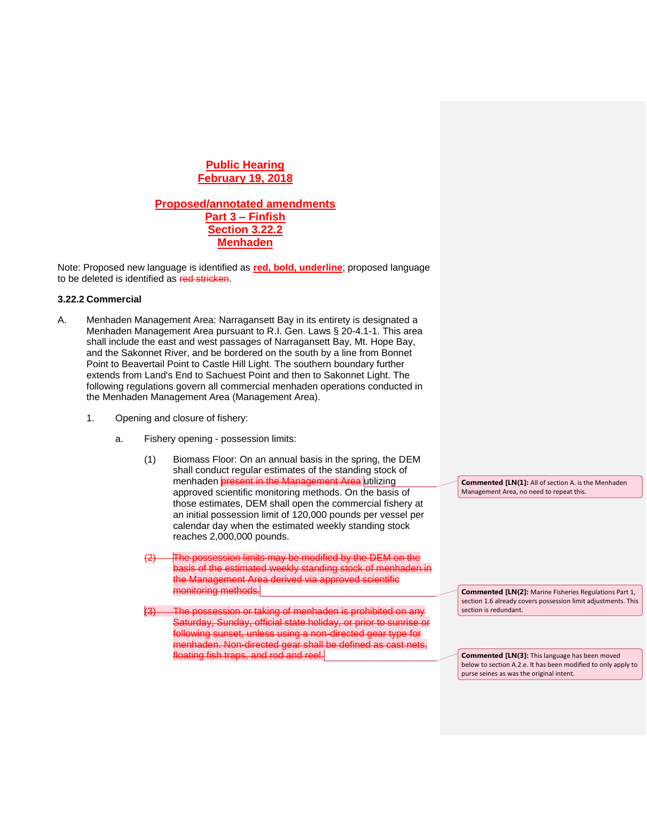# **Public Hearing February 19, 2018**

## **Proposed/annotated amendments Part 3 – Finfish Section 3.22.2 Menhaden**

Note: Proposed new language is identified as **red, bold, underline**; proposed language to be deleted is identified as red stricken.

## **3.22.2 Commercial**

- A. Menhaden Management Area: Narragansett Bay in its entirety is designated a Menhaden Management Area pursuant to R.I. Gen. Laws § 20-4.1-1. This area shall include the east and west passages of Narragansett Bay, Mt. Hope Bay, and the Sakonnet River, and be bordered on the south by a line from Bonnet Point to Beavertail Point to Castle Hill Light. The southern boundary further extends from Land's End to Sachuest Point and then to Sakonnet Light. The following regulations govern all commercial menhaden operations conducted in the Menhaden Management Area (Management Area).
	- 1. Opening and closure of fishery:
		- a. Fishery opening possession limits:
			- (1) Biomass Floor: On an annual basis in the spring, the DEM shall conduct regular estimates of the standing stock of menhaden **present in the Management Area** utilizing approved scientific monitoring methods. On the basis of those estimates, DEM shall open the commercial fishery at an initial possession limit of 120,000 pounds per vessel per calendar day when the estimated weekly standing stock reaches 2,000,000 pounds.
			- The possession limits may be modified by the DEM on the basis of the estimated weekly standing stock of menhaden in the Management Area derived via approved scientific monitoring methods.
			- (3) The possession or taking of menhaden is prohibited on any Saturday, Sunday, official state holiday, or prior to sunrise or following sunset, unless using a non-directed gear type for menhaden. Non-directed gear shall be defined as cast nets floating fish traps, and rod and reel.

**Commented [LN(1]:** All of section A. is the Menhaden Management Area, no need to repeat this.

**Commented [LN(2]:** Marine Fisheries Regulations Part 1, section 1.6 already covers possession limit adjustments. This section is redundant.

**Commented [LN(3]:** This language has been moved below to section A.2.e. It has been modified to only apply to purse seines as was the original intent.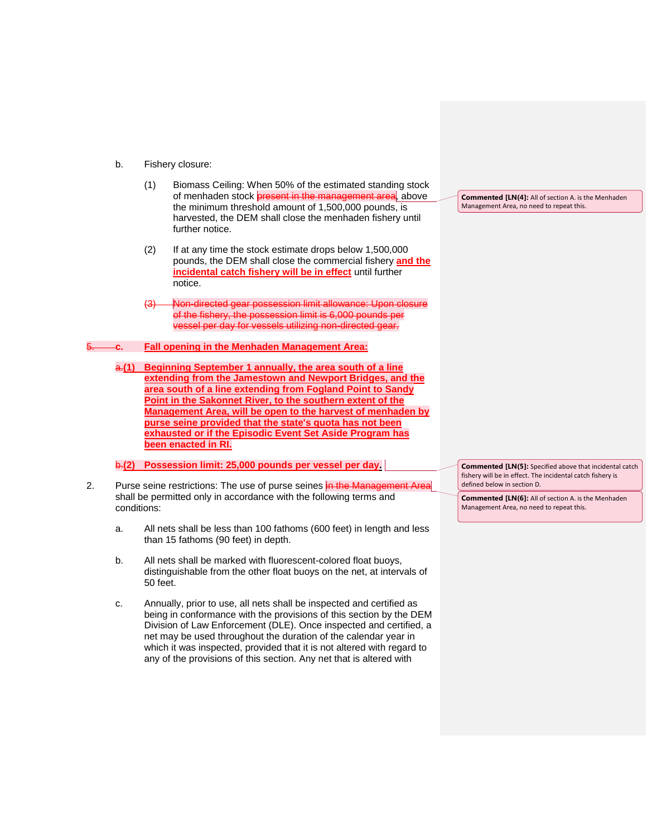- b. Fishery closure:
	- (1) Biomass Ceiling: When 50% of the estimated standing stock of menhaden stock **present in the management area**, above the minimum threshold amount of 1,500,000 pounds, is harvested, the DEM shall close the menhaden fishery until further notice.
	- (2) If at any time the stock estimate drops below 1,500,000 pounds, the DEM shall close the commercial fishery **and the incidental catch fishery will be in effect** until further notice.
	- (3) Non-directed gear possession limit allowance: Upon closure of the fishery, the possession limit is 6,000 pounds per vessel per day for vessels utilizing non-directed gear.

#### 5. **c. Fall opening in the Menhaden Management Area:**

a.**(1) Beginning September 1 annually, the area south of a line extending from the Jamestown and Newport Bridges, and the area south of a line extending from Fogland Point to Sandy Point in the Sakonnet River, to the southern extent of the Management Area, will be open to the harvest of menhaden by purse seine provided that the state's quota has not been exhausted or if the Episodic Event Set Aside Program has been enacted in RI.** 

b.**(2) Possession limit: 25,000 pounds per vessel per day.**

- 2. Purse seine restrictions: The use of purse seines in the Management Area shall be permitted only in accordance with the following terms and conditions:
	- a. All nets shall be less than 100 fathoms (600 feet) in length and less than 15 fathoms (90 feet) in depth.
	- b. All nets shall be marked with fluorescent-colored float buoys, distinguishable from the other float buoys on the net, at intervals of 50 feet.
	- c. Annually, prior to use, all nets shall be inspected and certified as being in conformance with the provisions of this section by the DEM Division of Law Enforcement (DLE). Once inspected and certified, a net may be used throughout the duration of the calendar year in which it was inspected, provided that it is not altered with regard to any of the provisions of this section. Any net that is altered with

**Commented [LN(4]:** All of section A. is the Menhaden Management Area, no need to repeat this.

**Commented [LN(5]:** Specified above that incidental catch fishery will be in effect. The incidental catch fishery is defined below in section D.

**Commented [LN(6]:** All of section A. is the Menhaden Management Area, no need to repeat this.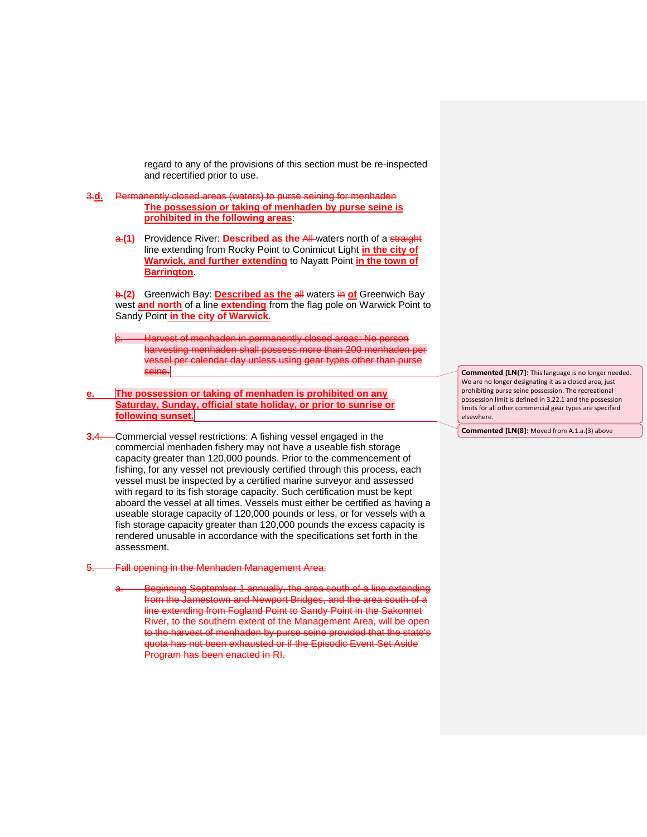regard to any of the provisions of this section must be re-inspected and recertified prior to use.

- 3.**d.** Permanently closed areas (waters) to purse seining for menhaden **The possession or taking of menhaden by purse seine is prohibited in the following areas**:
	- a.(1) Providence River: **Described as the All-**waters north of a straight line extending from Rocky Point to Conimicut Light **in the city of Warwick, and further extending** to Nayatt Point **in the town of Barrington**.

b.**(2)** Greenwich Bay: **Described as the** all waters in **of** Greenwich Bay west **and north** of a line **extending** from the flag pole on Warwick Point to Sandy Point **in the city of Warwick.**

- Harvest of menhaden in permanently closed areas: No person harvesting menhaden shall possess more than 200 menhaden per vessel per calendar day unless using gear types other than purse seine.
- **e. The possession or taking of menhaden is prohibited on any Saturday, Sunday, official state holiday, or prior to sunrise or following sunset.**
- **3.**4. Commercial vessel restrictions: A fishing vessel engaged in the commercial menhaden fishery may not have a useable fish storage capacity greater than 120,000 pounds. Prior to the commencement of fishing, for any vessel not previously certified through this process, each vessel must be inspected by a certified marine surveyor and assessed with regard to its fish storage capacity. Such certification must be kept aboard the vessel at all times. Vessels must either be certified as having a useable storage capacity of 120,000 pounds or less, or for vessels with a fish storage capacity greater than 120,000 pounds the excess capacity is rendered unusable in accordance with the specifications set forth in the assessment.
- 5. Fall opening in the Menhaden Management Area:
	- Beginning September 1 annually, the area south of a line extending from the Jamestown and Newport Bridges, and the area south of a line extending from Fogland Point to Sandy Point in the Sakonnet River, to the southern extent of the Management Area, will be open to the harvest of menhaden by purse seine provided that the state's quota has not been exhausted or if the Episodic Event Set Aside Program has been enacted in RI.

**Commented [LN(7]:** This language is no longer needed. We are no longer designating it as a closed area, just prohibiting purse seine possession. The recreational possession limit is defined in 3.22.1 and the possession limits for all other commercial gear types are specified elsewhere.

**Commented [LN(8]:** Moved from A.1.a.(3) above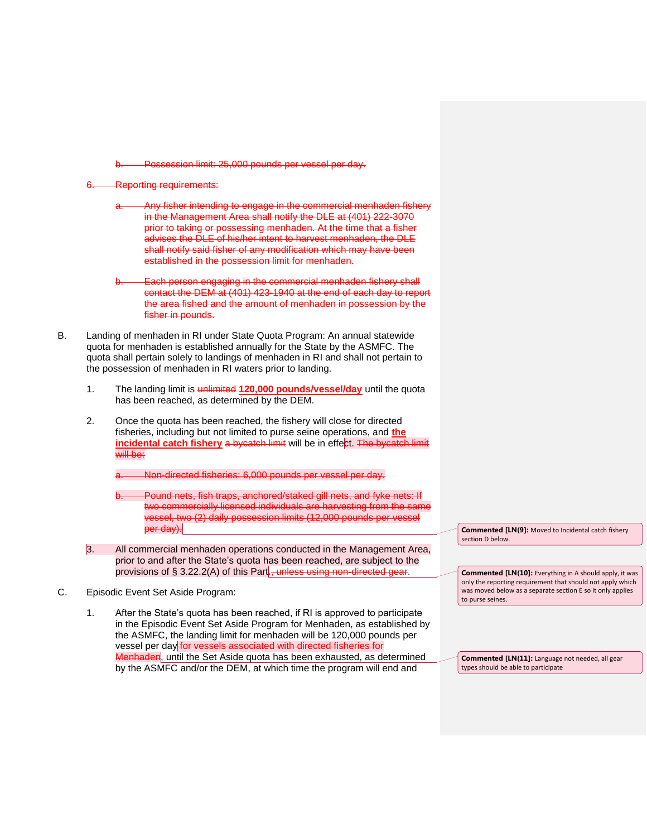Possession limit: 25,000 pounds per vessel per day.

## Reporting requirements:

- Any fisher intending to engage in the commercial menhaden fishery in the Management Area shall notify the DLE at (401) 222-3070 prior to taking or possessing menhaden. At the time that a fisher advises the DLE of his/her intent to harvest menhaden, the DLE shall notify said fisher of any modification which may have been established in the possession limit for menhaden.
- Each person engaging in the commercial menhaden fishery shall contact the DEM at (401) 423-1940 at the end of each day to report the area fished and the amount of menhaden in possession by the fisher in pounds.
- B. Landing of menhaden in RI under State Quota Program: An annual statewide quota for menhaden is established annually for the State by the ASMFC. The quota shall pertain solely to landings of menhaden in RI and shall not pertain to the possession of menhaden in RI waters prior to landing.
	- 1. The landing limit is unlimited **120,000 pounds/vessel/day** until the quota has been reached, as determined by the DEM.
	- 2. Once the quota has been reached, the fishery will close for directed fisheries, including but not limited to purse seine operations, and **the incidental catch fishery** a bycatch limit will be in effect. The bycatch limit will be:

a. Non-directed fisheries: 6,000 pounds per vessel per day.

- b. Pound nets, fish traps, anchored/staked gill nets, and fyke nets: If two commercially licensed individuals are harvesting from the same vessel, two (2) daily possession limits (12,000 pounds per vessel per day).
- 3. All commercial menhaden operations conducted in the Management Area, prior to and after the State's quota has been reached, are subject to the provisions of § 3.22.2(A) of this Part**.**, unless using non-directed gear.
- C. Episodic Event Set Aside Program:

1. After the State's quota has been reached, if RI is approved to participate in the Episodic Event Set Aside Program for Menhaden, as established by the ASMFC, the landing limit for menhaden will be 120,000 pounds per vessel per day for vessels associated with directed fisheries for Menhaden, until the Set Aside quota has been exhausted, as determined by the ASMFC and/or the DEM, at which time the program will end and

**Commented [LN(9]:** Moved to Incidental catch fishery section D below.

**Commented [LN(10]:** Everything in A should apply, it was only the reporting requirement that should not apply which was moved below as a separate section E so it only applies to purse seines.

**Commented [LN(11]:** Language not needed, all gear types should be able to participate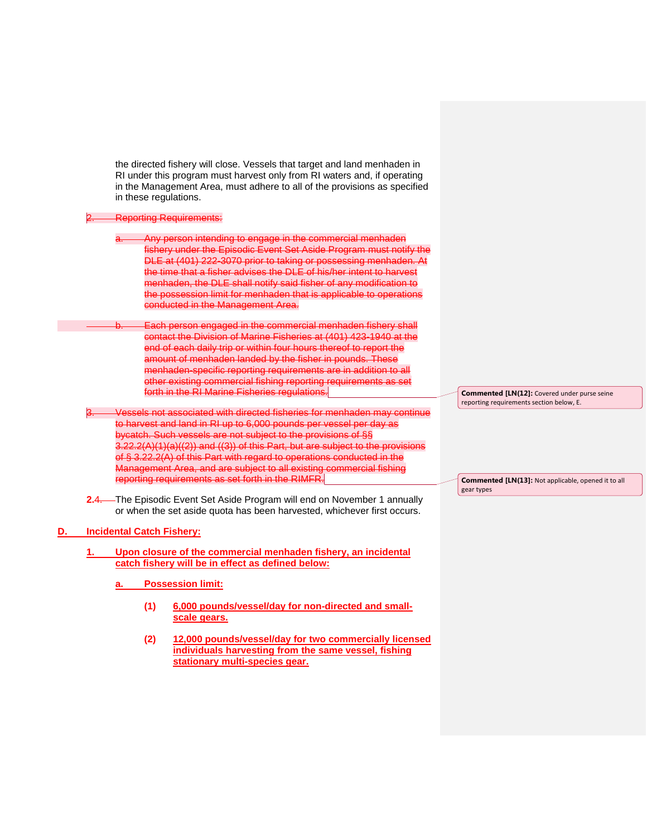the directed fishery will close. Vessels that target and land menhaden in RI under this program must harvest only from RI waters and, if operating in the Management Area, must adhere to all of the provisions as specified in these regulations.

#### **Reporting Requirements:**

Any person intending to engage in the commercial menhaden fishery under the Episodic Event Set Aside Program must notify the DLE at (401) 222-3070 prior to taking or possessing menhaden. At the time that a fisher advises the DLE of his/her intent to harvest menhaden, the DLE shall notify said fisher of any modification to the possession limit for menhaden that is applicable to operations conducted in the Management Area.

Each person engaged in the commercial menhaden fishery shall contact the Division of Marine Fisheries at (401) 423-1940 at the end of each daily trip or within four hours thereof to report the amount of menhaden landed by the fisher in pounds. These menhaden-specific reporting requirements are in addition to all other existing commercial fishing reporting requirements as set forth in the RI Marine Fisheries regulations.

Vessels not associated with directed fisheries for menhaden may continue to harvest and land in RI up to 6,000 pounds per vessel per day as bycatch. Such vessels are not subject to the provisions of §§ 3.22.2(A)(1)(a)((2)) and ((3)) of this Part, but are subject to the provisions of § 3.22.2(A) of this Part with regard to operations conducted in the Management Area, and are subject to all existing commercial fishing reporting requirements as set forth in the RIMFR.

**2.**4. The Episodic Event Set Aside Program will end on November 1 annually or when the set aside quota has been harvested, whichever first occurs.

#### **D. Incidental Catch Fishery:**

- **1. Upon closure of the commercial menhaden fishery, an incidental catch fishery will be in effect as defined below:**
	- **a. Possession limit:**
		- **(1) 6,000 pounds/vessel/day for non-directed and smallscale gears.**
		- **(2) 12,000 pounds/vessel/day for two commercially licensed individuals harvesting from the same vessel, fishing stationary multi-species gear.**

**Commented [LN(12]:** Covered under purse seine reporting requirements section below, E.

**Commented [LN(13]:** Not applicable, opened it to all gear types